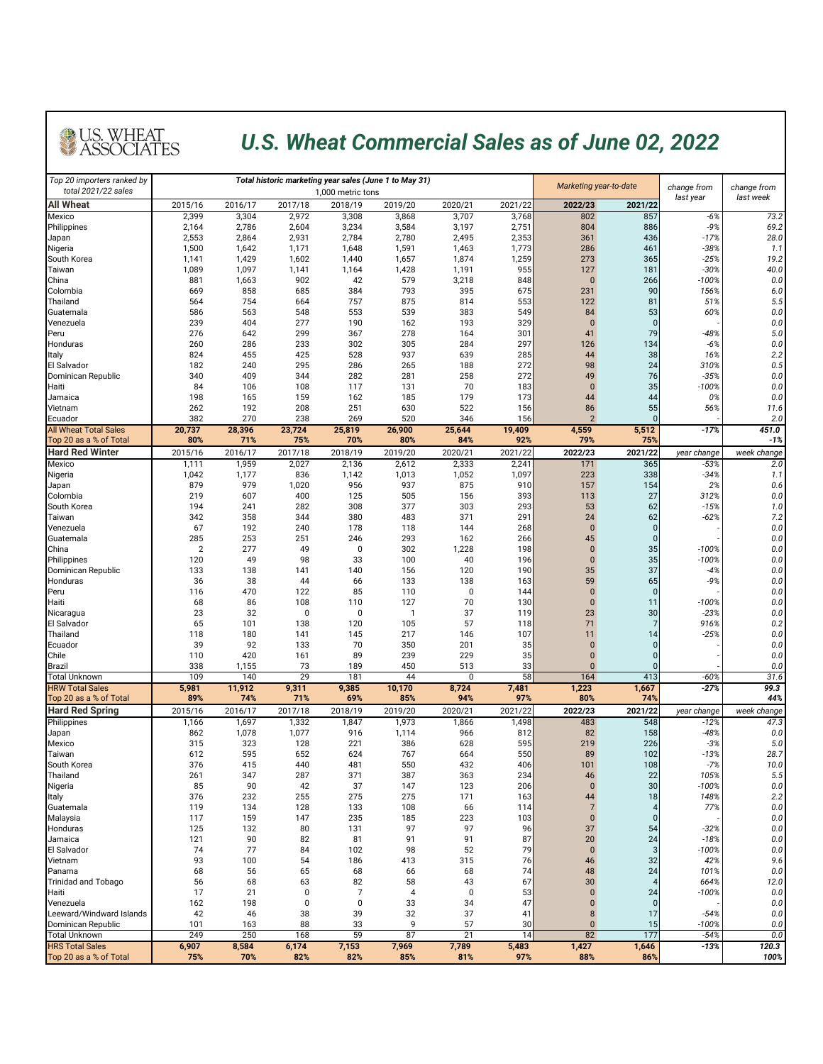| Top 20 importers ranked by<br>total 2021/22 sales |                  |                  |                  | Total historic marketing year sales (June 1 to May 31)<br>1,000 metric tons | Marketing year-to-date |                  | change from      | change from           |                |                       |                     |
|---------------------------------------------------|------------------|------------------|------------------|-----------------------------------------------------------------------------|------------------------|------------------|------------------|-----------------------|----------------|-----------------------|---------------------|
| <b>All Wheat</b>                                  | 2015/16          | 2016/17          | 2017/18          | 2018/19                                                                     | 2019/20                | 2020/21          | 2021/22          | 2022/23               | 2021/22        | last year             | last week           |
| Mexico                                            | 2,399            | 3,304            | 2,972            | 3,308                                                                       | 3,868                  | 3,707            | 3,768            | 802                   | 857            | $-6%$                 | 73.2                |
| Philippines                                       | 2,164            | 2,786            | 2,604            | 3,234                                                                       | 3,584                  | 3,197            | 2,751            | 804                   | 886            | $-9%$                 | 69.2                |
| Japan<br>Nigeria                                  | 2,553<br>1,500   | 2,864<br>1,642   | 2,931<br>1,171   | 2,784<br>1,648                                                              | 2,780<br>1,591         | 2,495<br>1,463   | 2,353<br>1,773   | 361<br>286            | 436<br>461     | $-17%$<br>$-38%$      | 28.0<br>1.1         |
| South Korea                                       | 1,141            | 1,429            | 1,602            | 1,440                                                                       | 1,657                  | 1,874            | 1,259            | 273                   | 365            | $-25%$                | 19.2                |
| <b>Taiwan</b>                                     | 1,089            | 1,097            | 1,141            | 1,164                                                                       | 1,428                  | 1,191            | 955              | 127                   | 181            | $-30%$                | 40.0                |
| China<br>Colombia                                 | 881<br>669       | 1,663<br>858     | 902<br>685       | 42<br>384                                                                   | 579<br>793             | 3,218<br>395     | 848<br>675       | $\overline{0}$<br>231 | 266<br>90      | $-100%$<br>156%       | 0.0<br>6.0          |
| <b>Thailand</b>                                   | 564              | 754              | 664              | 757                                                                         | 875                    | 814              | 553              | 122                   | 81             | 51%                   | 5.5                 |
| Guatemala                                         | 586              | 563              | 548              | 553                                                                         | 539                    | 383              | 549              | 84                    | 53             | 60%                   | $0.0\,$             |
| Venezuela                                         | 239              | 404              | 277              | 190                                                                         | 162                    | 193              | 329              | $\overline{0}$        | 0              |                       | 0.0                 |
| Peru<br>Honduras                                  | 276<br>260       | 642<br>286       | 299<br>233       | 367<br>302                                                                  | 278<br>305             | 164<br>284       | 301<br>297       | 41<br>126             | 79<br>134      | $-48%$<br>$-6%$       | $5.0$<br>0.0        |
| <b>Italy</b>                                      | 824              | 455              | 425              | 528                                                                         | 937                    | 639              | 285              | 44                    | 38             | 16%                   | 2.2                 |
| <b>El Salvador</b>                                | 182              | 240              | 295              | 286                                                                         | 265                    | 188              | 272              | 98                    | 24             | 310%                  | 0.5                 |
| Dominican Republic<br>Haiti                       | 340<br>84        | 409<br>106       | 344<br>108       | 282<br>117                                                                  | 281<br>131             | 258<br>70        | 272<br>183       | 49<br>$\overline{0}$  | 76<br>35       | $-35%$<br>$-100%$     | 0.0<br>$0.0\,$      |
| Jamaica                                           | 198              | 165              | 159              | 162                                                                         | 185                    | 179              | 173              | 44                    | 44             | 0%                    | 0.0                 |
| Vietnam                                           | 262              | 192              | 208              | 251                                                                         | 630                    | 522              | 156              | 86                    | 55             | 56%                   | 11.6                |
| Ecuador<br><b>All Wheat Total Sales</b>           | 382              | 270              | 238              | 269                                                                         | 520                    | 346              | 156              | $\overline{2}$        | 0              | $-17%$                | 2.0<br>451.0        |
| Top 20 as a % of Total                            | 20,737<br>80%    | 28,396<br>71%    | 23,724<br>75%    | 25,819<br>70%                                                               | 26,900<br>80%          | 25,644<br>84%    | 19,409<br>92%    | 4,559<br>79%          | 5,512<br>75%   |                       | $-1%$               |
| <b>Hard Red Winter</b>                            | 2015/16          | 2016/17          | 2017/18          | 2018/19                                                                     | 2019/20                | 2020/21          | 2021/22          | 2022/23               | 2021/22        | year change           | week change         |
| <b>Mexico</b>                                     | 1,111            | 1,959            | 2,027            | 2,136                                                                       | 2,612                  | 2,333            | 2,241            | 171                   | 365            | $-53%$                | 2.0                 |
| Nigeria<br>Japan                                  | 1,042<br>879     | 1,177<br>979     | 836<br>1,020     | 1,142<br>956                                                                | 1,013<br>937           | 1,052<br>875     | 1,097<br>910     | 223<br>157            | 338<br>154     | $-34%$<br>2%          | 1.1<br>0.6          |
| Colombia                                          | 219              | 607              | 400              | 125                                                                         | 505                    | 156              | 393              | 113                   | 27             | 312%                  | $0.0\,$             |
| South Korea                                       | 194              | 241              | 282              | 308                                                                         | 377                    | 303              | 293              | 53                    | 62             | $-15%$                | 1.0                 |
| Taiwan                                            | 342              | 358              | 344              | 380                                                                         | 483                    | 371              | 291              | 24                    | 62             | $-62%$                | 7.2                 |
| Venezuela<br>Guatemala                            | 67<br>285        | 192<br>253       | 240<br>251       | 178<br>246                                                                  | 118<br>293             | 144<br>162       | 268<br>266       | $\overline{0}$<br>45  |                |                       | $0.0\,$<br>$0.0\,$  |
| China                                             | $\overline{2}$   | 277              | 49               | $\boldsymbol{0}$                                                            | 302                    | 1,228            | 198              |                       | 35             | $-100%$               | $0.0\,$             |
| Philippines                                       | 120              | 49               | 98               | 33                                                                          | 100                    | 40               | 196              | $\overline{0}$        | 35             | $-100%$               | $0.0\,$             |
| Dominican Republic<br>Honduras                    | 133<br>36        | 138<br>38        | 141<br>44        | 140<br>66                                                                   | 156<br>133             | 120<br>138       | 190<br>163       | 35<br>59              | 37<br>65       | $-4%$<br>$-9%$        | $0.0\,$<br>$0.0\,$  |
| Peru                                              | 116              | 470              | 122              | 85                                                                          | 110                    |                  | 144              |                       |                |                       | $0.0\,$             |
| Haiti                                             | 68               | 86               | 108              | 110                                                                         | 127                    | 70               | 130              |                       | 11             | $-100%$               | $0.0\,$             |
| Nicaragua<br><b>El Salvador</b>                   | 23<br>65         | 32<br>101        | 138              | $\mathbf 0$<br>120                                                          | 105                    | 37<br>57         | 119<br>118       | 23<br>71              | 30             | $-23%$<br>916%        | 0.0<br>0.2          |
| <b>Thailand</b>                                   | 118              | 180              | 141              | 145                                                                         | 217                    | 146              | 107              | 11                    | 14             | $-25%$                | $0.0\,$             |
| Ecuador                                           | 39               | 92               | 133              | 70                                                                          | 350                    | 201              | 35               |                       |                |                       | $0.0\,$             |
| Chile                                             | 110              | 420              | 161              | 89                                                                          | 239                    | 229              | 35               |                       |                |                       | $0.0\,$             |
| <b>Brazil</b><br><b>Total Unknown</b>             | 338<br>109       | 1,155<br>140     | 73<br>29         | 189<br>181                                                                  | 450<br>44              | 513              | 33<br>58         | 164                   | 413            | $-60%$                | $0.0\,$<br>31.6     |
| <b>HRW Total Sales</b>                            | 5,981            | 11,912           | 9,311            | 9,385                                                                       | 10,170                 | 8,724            | 7,481            | 1,223                 | 1,667          | $-27%$                | 99.3                |
| Top 20 as a % of Total                            | 89%              | 74%              | 71%              | 69%                                                                         | 85%                    | 94%              | 97%              | 80%                   | 74%            |                       | 44%                 |
| <b>Hard Red Spring</b><br><b>Philippines</b>      | 2015/16<br>1,166 | 2016/17<br>1,697 | 2017/18<br>1,332 | 2018/19<br>1,847                                                            | 2019/20<br>1,973       | 2020/21<br>1,866 | 2021/22<br>1,498 | 2022/23<br>483        | 2021/22<br>548 | year change<br>$-12%$ | week change<br>47.3 |
| Japan                                             | 862              | 1,078            | 1,077            | 916                                                                         | 1,114                  | 966              | 812              | 82                    | 158            | -48%                  | 0.0                 |
| Mexico                                            | 315              | 323              | 128              | 221                                                                         | 386                    | 628              | 595              | 219                   | 226            | $-3%$                 | $5.0$               |
| Taiwan                                            | 612              | 595              | 652              | 624                                                                         | 767                    | 664              | 550              | 89                    | 102            | $-13%$                | 28.7                |
| South Korea<br>Thailand                           | 376<br>261       | 415<br>347       | 440<br>287       | 481<br>371                                                                  | 550<br>387             | 432<br>363       | 406<br>234       | 101<br>46             | 108<br>22      | $-7%$<br>105%         | 10.0<br>5.5         |
| Nigeria                                           | 85               | 90               | 42               | 37                                                                          | 147                    | 123              | 206              |                       | 30             | $-100%$               | $0.0\,$             |
| <b>Italy</b>                                      | 376              | 232              | 255              | 275                                                                         | 275                    | 171              | 163              | 44                    | 18             | 148%                  | 2.2                 |
| Guatemala<br>Malaysia                             | 119<br>117       | 134<br>159       | 128<br>147       | 133<br>235                                                                  | 108<br>185             | 66<br>223        | 114<br>103       |                       |                | 77%                   | $0.0\,$<br>$0.0\,$  |
| Honduras                                          | 125              | 132              | 80               | 131                                                                         | 97                     | 97               | 96               | 37                    | 54             | $-32%$                | $0.0\,$             |
| Jamaica                                           | 121              | 90               | 82               | 81                                                                          | 91                     | 91               | 87               | 20                    | 24             | $-18%$                | $0.0\,$             |
| <b>El Salvador</b>                                | 74<br>93         | 77<br>100        | 84<br>54         | 102<br>186                                                                  | 98<br>413              | 52<br>315        | 79<br>76         | $\mathbf 0$           |                | $-100%$<br>42%        | $0.0\,$<br>9.6      |
| Vietnam<br>Panama                                 | 68               | 56               | 65               | 68                                                                          | 66                     | 68               | 74               | 46<br>48              | 32<br>24       | 101%                  | 0.0                 |
| <b>Trinidad and Tobago</b>                        | 56               | 68               | 63               | 82                                                                          | 58                     | 43               | 67               | 30                    |                | 664%                  | 12.0                |
| Haiti                                             | 17               | 21               |                  |                                                                             | 4                      |                  | 53               | $\overline{0}$        | 24             | $-100%$               | $0.0\,$             |
| Venezuela<br>Leeward/Windward Islands             | 162<br>42        | 198<br>46        | 38               | $\overline{0}$<br>39                                                        | 33<br>32               | 34<br>37         | 47<br>41         |                       | 17             | $-54%$                | $0.0\,$<br>0.0      |
| Dominican Republic                                | 101              | 163              | 88               | 33                                                                          | 9                      | 57               | 30               | $\overline{0}$        | 15             | $-100%$               | $0.0\,$             |
| <b>Total Unknown</b>                              | 249              | 250              | 168              | 59                                                                          | 87                     | 21               | 14               | 82                    | 177            | $-54%$                | $0.0$               |
| <b>HRS Total Sales</b><br>Top 20 as a % of Total  | 6,907            | 8,584<br>70%     | 6,174<br>82%     | 7,153<br>82%                                                                | 7,969<br>85%           | 7,789<br>81%     | 5,483<br>97%     | 1,427<br>88%          | 1,646<br>86%   | $-13%$                | 120.3<br>100%       |
|                                                   | 75%              |                  |                  |                                                                             |                        |                  |                  |                       |                |                       |                     |

# U.S. WHEAT

#### *U.S. Wheat Commercial Sales as of June 02, 2022*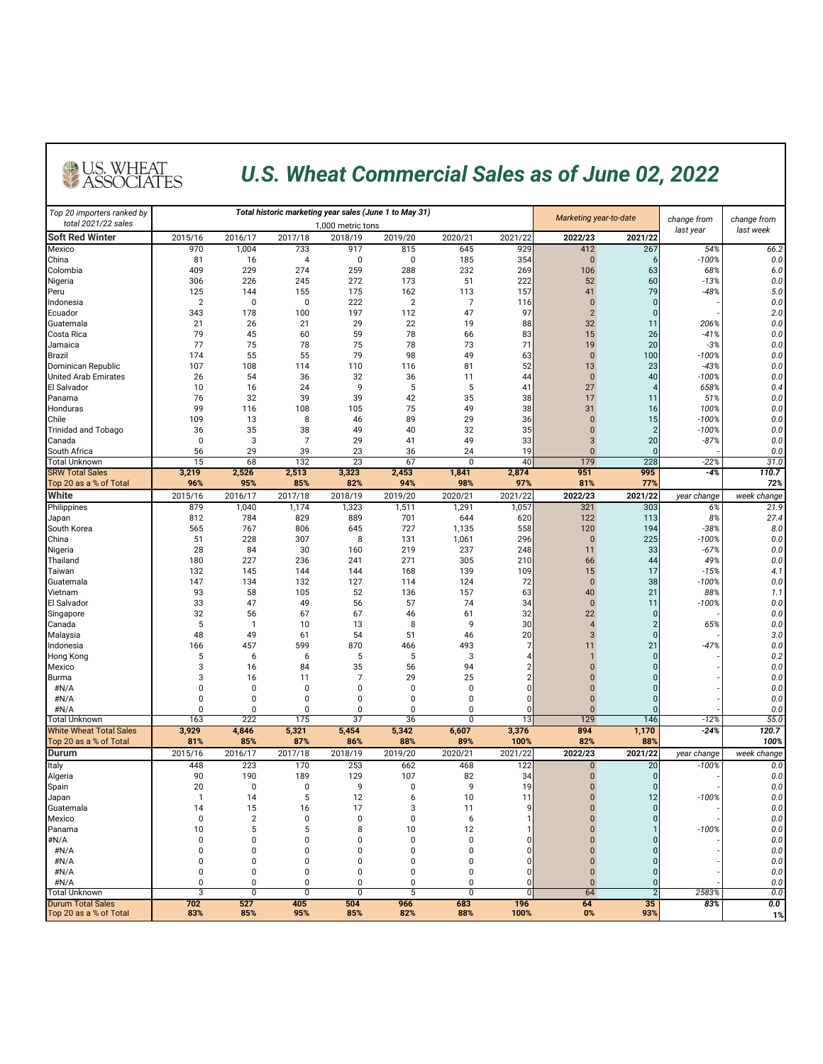| Top 20 importers ranked by<br>total 2021/22 sales |                       | Total historic marketing year sales (June 1 to May 31) |                    |                   |                       |                   |                  |                | Marketing year-to-date | change from   | change from             |  |
|---------------------------------------------------|-----------------------|--------------------------------------------------------|--------------------|-------------------|-----------------------|-------------------|------------------|----------------|------------------------|---------------|-------------------------|--|
| <b>Soft Red Winter</b>                            |                       |                                                        |                    | 1,000 metric tons |                       |                   |                  |                |                        | last year     | last week               |  |
| <b>Mexico</b>                                     | 2015/16<br>970        | 2016/17<br>1,004                                       | 2017/18<br>733     | 2018/19<br>917    | 2019/20<br>815        | 2020/21<br>645    | 2021/22<br>929   | 2022/23<br>412 | 2021/22<br>267         | 54%           | 66.2                    |  |
| China                                             | 81                    | 16                                                     |                    | $\mathbf 0$       |                       | 185               | 354              |                |                        | $-100%$       | 0.0                     |  |
| Colombia                                          | 409                   | 229                                                    | 274                | 259               | 288                   | 232               | 269              | 106            | 63                     | 68%           | 6.0                     |  |
| Nigeria                                           | 306                   | 226                                                    | 245                | 272               | 173                   | 51                | 222              | 52             | 60                     | $-13%$        | 0.0                     |  |
| Peru                                              | 125                   | 144                                                    | 155                | 175               | 162                   | 113               | 157              | 41             | 79                     | $-48%$        | 5.0                     |  |
| Indonesia<br>Ecuador                              | $\overline{2}$<br>343 | $\mathbf 0$<br>178                                     | $\mathbf 0$<br>100 | 222<br>197        | $\overline{2}$<br>112 | 47                | 116<br>97        | $\overline{2}$ |                        |               | 0.0<br>2.0              |  |
| Guatemala                                         | 21                    | 26                                                     | 21                 | 29                | 22                    | 19                | 88               | 32             | 11                     | 206%          | 0.0                     |  |
| Costa Rica                                        | 79                    | 45                                                     | 60                 | 59                | 78                    | 66                | 83               | 15             | 26                     | $-41%$        | 0.0                     |  |
| Jamaica                                           | 77                    | 75                                                     | 78                 | 75                | 78                    | 73                | 71               | 19             | 20                     | $-3%$         | 0.0                     |  |
| Brazil                                            | 174                   | 55                                                     | 55                 | 79                | 98                    | 49                | 63               | $\mathbf 0$    | 100                    | $-100%$       | 0.0                     |  |
| Dominican Republic                                | 107                   | 108                                                    | 114                | 110               | 116                   | 81                | 52'              | 13             | 23                     | $-43%$        | 0.0                     |  |
| <b>United Arab Emirates</b>                       | 26                    | 54                                                     | 36                 | 32                | 36                    | 11                | 44               | $\Omega$       | 40                     | $-100%$       | 0.0                     |  |
| <b>El Salvador</b><br>Panama                      | 10<br>76              | 16<br>32                                               | 24<br>39           | 9<br>39           | 5<br>42               | 5<br>35           | 41<br>38         | 27<br>17       | 11                     | 658%<br>51%   | 0.4<br>0.0              |  |
| Honduras                                          | 99                    | 116                                                    | 108                | 105               | 75                    | 49                | 38               | 31             | 16                     | 100%          | 0.0                     |  |
| <b>Chile</b>                                      | 109                   | 13                                                     | 8                  | 46                | 89                    | 29                | 36               |                | 15                     | $-100%$       | 0.0                     |  |
| <b>Trinidad and Tobago</b>                        | 36                    | 35                                                     | 38                 | 49                | 40                    | 32                | 35               |                |                        | $-100%$       | 0.0                     |  |
| Canada                                            |                       | 3                                                      |                    | 29                | 41                    | 49                | 33               |                | 20                     | $-87%$        | 0.0                     |  |
| South Africa                                      | 56                    | 29                                                     | 39                 | 23                | 36                    | 24                | 19               |                |                        |               | 0.0                     |  |
| <b>Total Unknown</b>                              | 15                    | 68                                                     | 132                | $\overline{23}$   | 67                    | 0                 | 40               | 179            | 228                    | $-22%$        | 31.0                    |  |
| <b>SRW Total Sales</b><br>Top 20 as a % of Total  | 3,219<br>96%          | 2,526<br>95%                                           | 2,513<br>85%       | 3,323<br>82%      | 2,453<br>94%          | 1,841<br>98%      | 2,874<br>97%     | 951<br>81%     | 995<br>77%             | $-4%$         | 110.7<br>72%            |  |
| <b>White</b>                                      | 2015/16               | 2016/17                                                | 2017/18            | 2018/19           | 2019/20               | 2020/21           | 2021/22          | 2022/23        | 2021/22                | year change   | week change             |  |
| Philippines                                       | 879                   | 1,040                                                  | 1,174              | 1,323             | 1,511                 | 1,291             | 1,057            | 321            | 303                    | 6%            | 21.9                    |  |
| Japan                                             | 812                   | 784                                                    | 829                | 889               | 701                   | 644               | 620              | 122            | 113                    | 8%            | 27.4                    |  |
| South Korea                                       | 565                   | 767                                                    | 806                | 645               | 727                   | 1,135             | 558              | 120            | 194                    | $-38%$        | 8.0                     |  |
| China                                             | 51                    | 228                                                    | 307                | 8                 | 131                   | 1,061             | 296              | $\overline{0}$ | 225                    | $-100%$       | 0.0                     |  |
| Nigeria<br>Thailand                               | 28<br>180             | 84<br>227                                              | 30<br>236          | 160<br>241        | 219<br>271            | 237<br>305        | 248              | 11<br>66       | 33                     | $-67%$<br>49% | 0.0                     |  |
| Taiwan                                            | 132                   | 145                                                    | 144                | 144               | 168                   | 139               | 210<br>109       | 15             | 44<br>17               | $-15%$        | 0.0<br>4.1              |  |
| Guatemala                                         | 147                   | 134                                                    | 132                | 127               | 114                   | 124               | 72               | $\mathbf{0}$   | 38                     | $-100%$       | 0.0                     |  |
| Vietnam                                           | 93                    | 58                                                     | 105                | 52                | 136                   | 157               | 63               | 40             | 21                     | 88%           | 1.1                     |  |
| El Salvador                                       | 33                    | 47                                                     | 49                 | 56                | 57                    | 74                | 34               | $\mathbf{0}$   | 11                     | $-100%$       | 0.0                     |  |
| Singapore                                         | 32                    | 56                                                     | 67                 | 67                | 46                    | 61                | 32               | 22             |                        |               | 0.0                     |  |
| Canada                                            |                       |                                                        | 10                 | 13                | 8                     | 9                 | 30               |                |                        | 65%           | 0.0                     |  |
| Malaysia<br>Indonesia                             | 48<br>166             | 49<br>457                                              | 61<br>599          | 54<br>870         | 51<br>466             | 46<br>493         | 20               |                | 21                     | $-47%$        | 3.0<br>0.0              |  |
| Hong Kong                                         |                       | 6                                                      | 6                  |                   | 5                     | 3                 |                  |                |                        |               | 0.2                     |  |
| Mexico                                            |                       | 16                                                     | 84                 | 35                | 56                    | 94                |                  |                |                        |               | 0.0                     |  |
| <b>Burma</b>                                      |                       | 16                                                     | 11                 |                   | 29                    | 25                |                  |                |                        |               | 0.0                     |  |
| #N/A                                              |                       | 0                                                      |                    |                   |                       |                   |                  |                |                        |               | 0.0                     |  |
| #N/A                                              |                       |                                                        |                    |                   |                       |                   |                  |                |                        |               | 0.0                     |  |
| #N/A<br><b>Total Unknown</b>                      | 163                   | $\Omega$<br>222                                        | 175                | $\overline{37}$   | $\overline{36}$       | <sup>0</sup><br>0 | 13               | 129            | 146                    | $-12%$        | $0.0\,$<br>55.0         |  |
| <b>White Wheat Total Sales</b>                    | 3,929                 | 4,846                                                  | 5,321              | 5,454             | 5,342                 | 6,607             | 3,376            | 894            | 1,170                  | $-24%$        | 120.7                   |  |
| Top 20 as a % of Total                            | 81%                   | 85%                                                    | 87%                | 86%               | 88%                   | 89%               | 100%             | 82%            | 88%                    |               | 100%                    |  |
| <b>Durum</b>                                      | 2015/16               | 2016/17                                                | 2017/18            | 2018/19           | 2019/20               | 2020/21           | 2021/22          | 2022/23        | 2021/22                | year change   | week change             |  |
| <b>Italy</b>                                      | 448                   | 223                                                    | 170                | 253               | 662                   | 468               | $\overline{122}$ |                | 20                     | $-100%$       | 0.0                     |  |
| Algeria                                           | 90                    | 190                                                    | 189                | 129               | 107                   | 82                | 34               |                |                        |               | 0.0                     |  |
| Spain                                             | 20                    | $\mathbf 0$                                            |                    | 9                 |                       | 9                 | 19               |                |                        |               | 0.0                     |  |
| Japan                                             |                       | 14<br>15                                               |                    | 12<br>17          |                       | 10                | 11               |                | 12                     | $-100%$       | 0.0                     |  |
| Guatemala<br>Mexico                               | 14                    | റ                                                      | 16<br>$\cap$       | $\Omega$          | $\mathbf{0}$          | 11                |                  |                |                        |               | 0.0<br>0.0              |  |
| Panama                                            | 10                    |                                                        |                    |                   | 10                    | 12                |                  |                |                        | $-100%$       | 0.0                     |  |
| #N/A                                              |                       |                                                        |                    |                   |                       |                   |                  |                |                        |               | 0.0                     |  |
| #N/A                                              |                       |                                                        |                    |                   |                       |                   |                  |                |                        |               | 0.0                     |  |
| #N/A                                              |                       |                                                        |                    |                   |                       |                   |                  |                |                        |               | 0.0                     |  |
| #N/A                                              |                       |                                                        |                    |                   |                       |                   |                  |                |                        |               | 0.0                     |  |
| #N/A<br><b>Total Unknown</b>                      | 3                     | $\Omega$                                               | $\overline{0}$     |                   |                       | 0                 | ΩI               | 64             |                        | 2583%         | 0.0<br>$\overline{0.0}$ |  |
| <b>Durum Total Sales</b>                          | 702                   | 527                                                    | 405                | 504               | 966                   | 683               | 196              | 64             | 35                     | 83%           | 0.0                     |  |
| Top 20 as a % of Total                            | 83%                   | 85%                                                    | 95%                | 85%               | 82%                   | 88%               | 100%             | $0\%$          | 93%                    |               | 1%                      |  |

## U.S. WHEAT

#### *U.S. Wheat Commercial Sales as of June 02, 2022*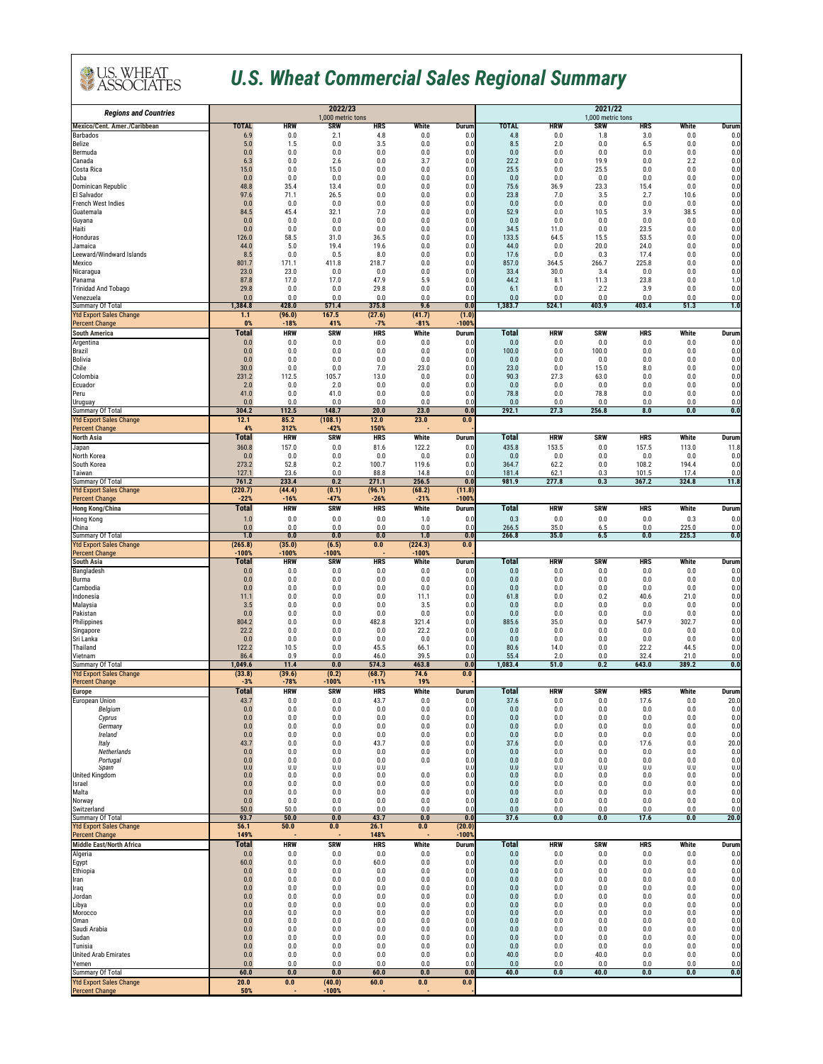| <b>Regions and Countries</b>                              |                      |                           | 2022/23<br>1,000 metric tons |                     |                    | 2021/22<br>1,000 metric tons        |                      |                           |                   |                                  |                         |                               |
|-----------------------------------------------------------|----------------------|---------------------------|------------------------------|---------------------|--------------------|-------------------------------------|----------------------|---------------------------|-------------------|----------------------------------|-------------------------|-------------------------------|
| <b>Mexico/Cent. Amer./Caribbean</b>                       | <b>TOTAL</b>         | <b>HRW</b>                | <b>SRW</b>                   | <b>HRS</b>          | White              | <b>Durum</b>                        | <b>TOTAL</b>         | <b>HRW</b>                | <b>SRW</b>        | <b>HRS</b>                       | <b>White</b>            | <b>Durum</b>                  |
| <b>Barbados</b><br>Belize                                 | 6.9<br>5.0           | 0.0<br>1.5                | 2.1<br>0.0                   | 4.8<br>3.5          | 0.0<br>0.0         | 0.0<br>0.0                          | 4.8<br>8.5           | 0.0<br>2.0                | 1.8<br>0.0        | 3.0<br>6.5                       | 0.0<br>0.0              | 0.0<br>0.0                    |
| Bermuda<br>Canada                                         | 0.0<br>6.3           | 0.0<br>0.0                | 0.0<br>2.6                   | 0.0<br>0.0          | 0.0<br>3.7         | 0.0<br>0.0                          | 0.0<br>22.2          | 0.0<br>0.0                | 0.0<br>19.9       | 0.0<br>0.0                       | 0.0<br>2.2              | 0.0<br>0.0                    |
| Costa Rica                                                | 15.0                 | 0.0                       | 15.0                         | 0.0                 | 0.0                | 0.0                                 | 25.5                 | 0.0                       | 25.5              | 0.0                              | 0.0                     | 0.0                           |
| Cuba<br>Dominican Republic                                | 0.0<br>48.8          | 0.0<br>35.4               | 0.0<br>13.4                  | 0.0<br>0.0          | 0.0<br>0.0         | 0.0<br>0.0                          | 0.0<br>75.6          | 0.0<br>36.9               | 0.0<br>23.3       | 0.0<br>15.4                      | 0.0<br>0.0              | 0.0<br>0.0                    |
| El Salvador                                               | 97.6                 | 71.1                      | 26.5                         | 0.0                 | 0.0                | 0.0                                 | 23.8                 | 7.0                       | 3.5               | 2.7                              | 10.6                    | 0.0                           |
| French West Indies<br>Guatemala                           | 0.0<br>84.5          | 0.0<br>45.4               | 0.0<br>32.1                  | 0.0<br>7.0          | 0.0<br>0.0         | 0.0<br>0.0                          | 0.0<br>52.9          | 0.0<br>0.0                | 0.0<br>10.5       | 0.0<br>3.9                       | 0.0<br>38.5             | 0.0<br>0.0                    |
| Guyana                                                    | 0.0                  | 0.0                       | 0.0                          | 0.0                 | 0.0                | 0.0                                 | 0.0                  | 0.0                       | 0.0               | 0.0                              | 0.0                     | 0.0                           |
| Haiti<br>Honduras                                         | 0.0<br>126.0         | 0.0<br>58.5               | 0.0<br>31.0                  | 0.0<br>36.5         | 0.0<br>0.0         | 0.0<br>0.0                          | 34.5<br>133.5        | 11.0<br>64.5              | 0.0<br>15.5       | 23.5<br>53.5                     | 0.0<br>0.0              | 0.0<br>0.0                    |
| Jamaica                                                   | 44.0                 | 5.0                       | 19.4                         | 19.6                | 0.0                | 0.0                                 | 44.0                 | 0.0                       | 20.0              | 24.0                             | 0.0                     | 0.0                           |
| Leeward/Windward Islands<br>Mexico                        | 8.5<br>801.7         | 0.0<br>171.1              | 0.5<br>411.8                 | 8.0<br>218.7        | 0.0<br>0.0         | 0.0<br>0.0                          | 17.6<br>857.0        | 0.0<br>364.5              | 0.3<br>266.7      | 17.4<br>225.8                    | 0.0<br>0.0              | 0.0<br>0.0                    |
| Nicaragua<br>Panama                                       | 23.0<br>87.8         | 23.0<br>17.0              | 0.0<br>17.0                  | 0.0<br>47.9         | 0.0<br>5.9         | 0.0<br>0.0                          | 33.4<br>44.2         | 30.0<br>8.1               | 3.4<br>11.3       | 0.0<br>23.8                      | 0.0<br>0.0              | 0.0<br>1.0                    |
| <b>Trinidad And Tobago</b>                                | 29.8                 | 0.0                       | 0.0                          | 29.8                | 0.0                | 0.0                                 | 6.1                  | 0.0                       | 2.2               | 3.9                              | 0.0                     | 0.0                           |
| Venezuela<br><b>Summary Of Total</b>                      | 0.0<br>1,384.8       | 0.0<br>428.0              | 0.0<br>571.4                 | 0.0<br>375.8        | 0.0<br>9.6         | 0.0<br>$\overline{0.0}$             | 0.0<br>1,383.7       | 0.0<br>524.1              | 0.0<br>403.9      | 0.0<br>403.4                     | 0.0<br>51.3             | 0.0<br>1.0                    |
| <b>Ytd Export Sales Change</b>                            | 1.1                  | (96.0)                    | 167.5                        | (27.6)              | (41.7)             | (1.0)                               |                      |                           |                   |                                  |                         |                               |
| <b>Percent Change</b><br><b>South America</b>             | 0%<br><b>Total</b>   | $-18%$<br><b>HRW</b>      | 41%<br><b>SRW</b>            | $-7%$<br><b>HRS</b> | $-81%$<br>White    | $-100%$<br><b>Durum</b>             | <b>Total</b>         | <b>HRW</b>                | <b>SRW</b>        | <b>HRS</b>                       | White                   | <b>Durum</b>                  |
| Argentina                                                 | 0.0                  | 0.0                       | 0.0                          | 0.0                 | 0.0                | 0.0                                 | 0.0                  | 0.0                       | 0.0               | 0.0                              | 0.0                     | 0.0                           |
| <b>Brazil</b><br><b>Bolivia</b>                           | 0.0<br>0.0           | 0.0<br>0.0                | 0.0<br>0.0                   | 0.0<br>0.0          | 0.0<br>0.0         | 0.0<br>0.0                          | 100.0<br>0.0         | 0.0<br>0.0                | 100.0<br>0.0      | 0.0<br>0.0                       | 0.0<br>0.0              | 0.0<br>0 <sub>0</sub>         |
| Chile                                                     | 30.0                 | 0.0                       | 0.0                          | 7.0                 | 23.0               | 0.0                                 | 23.0                 | 0.0                       | 15.0              | 8.0                              | 0.0                     | 0.0                           |
| Colombia<br>Ecuador                                       | 231.2<br>2.0         | 112.5<br>0.0              | 105.7<br>2.0                 | 13.0<br>0.0         | 0.0<br>0.0         | 0.0<br>0.0                          | 90.3<br>0.0          | 27.3<br>0.0               | 63.0<br>0.0       | 0.0<br>0.0                       | 0.0<br>0.0              | 0.0<br>0.0                    |
| Peru                                                      | 41.0                 | 0.0                       | 41.0                         | 0.0                 | 0.0                | 0.0                                 | 78.8                 | 0.0                       | 78.8              | 0.0                              | 0.0                     | 0.0                           |
| Uruguay<br><b>Summary Of Total</b>                        | 0.0<br>304.2         | 0.0<br>112.5              | 0.0<br>148.7                 | 0.0<br>20.0         | 0.0<br>23.0        | 0.0<br>0.0                          | 0.0<br>292.1         | 0.0<br>27.3               | 0.0<br>256.8      | 0.0<br>$\overline{\mathbf{8.0}}$ | 0.0<br>$\overline{0.0}$ | 0.0<br>0.0                    |
| <b>Ytd Export Sales Change</b>                            | 12.1                 | 85.2                      | (108.1)                      | $\overline{12.0}$   | 23.0               | 0.0                                 |                      |                           |                   |                                  |                         |                               |
| <b>Percent Change</b><br><b>North Asia</b>                | 4%<br><b>Total</b>   | 312%<br><b>HRW</b>        | $-42%$<br><b>SRW</b>         | 150%<br><b>HRS</b>  | White              | <b>Durum</b>                        | <b>Total</b>         | <b>HRW</b>                | <b>SRW</b>        | <b>HRS</b>                       | White                   | <b>Durum</b>                  |
| Japan                                                     | 360.8                | 157.0                     | 0.0                          | 81.6                | 122.2              | 0.0                                 | 435.8                | 153.5                     | 0.0               | 157.5                            | 113.0                   | 11.8                          |
| North Korea<br>South Korea                                | 0.0<br>273.2         | 0.0<br>52.8               | 0.0<br>0.2                   | 0.0<br>100.7        | 0.0<br>119.6       | 0.0<br>0.0                          | 0.0<br>364.7         | 0.0<br>62.2               | 0.0<br>0.0        | 0.0<br>108.2                     | 0.0<br>194.4            | 0.0<br>0.0                    |
| Taiwan                                                    | 127.1                | 23.6                      | 0.0                          | 88.8                | 14.8               | 0.0                                 | 181.4                | 62.1                      | 0.3               | 101.5                            | 17.4                    | 0.0                           |
| <b>Summary Of Total</b><br><b>Ytd Export Sales Change</b> | 761.2<br>(220.7)     | 233.4<br>(44.4)           | 0.2<br>(0.1)                 | 271.1<br>(96.1)     | 256.5<br>(68.2)    | $\overline{\mathbf{0.0}}$<br>(11.8) | 981.9                | 277.8                     | 0.3               | 367.2                            | 324.8                   | 11.8                          |
| <b>Percent Change</b>                                     | $-22%$               | $-16%$                    | $-47%$                       | $-26%$              | $-21%$             | $-100%$                             |                      |                           |                   |                                  |                         |                               |
| <b>Hong Kong/China</b>                                    | <b>Total</b>         | <b>HRW</b>                | <b>SRW</b>                   | <b>HRS</b>          | White              | <b>Durum</b>                        | <b>Total</b>         | <b>HRW</b>                | <b>SRW</b>        | <b>HRS</b>                       | White                   | <b>Durum</b>                  |
| Hong Kong<br>China                                        | 1.0<br>0.0           | 0.0<br>0.0                | 0.0<br>0.0                   | 0.0<br>$0.0\,$      | 1.0<br>0.0         | 0.0<br>0.0                          | 0.3<br>266.5         | 0.0<br>35.0               | 0.0<br>6.5        | 0.0<br>0.0                       | 0.3<br>225.0            | 0.0<br>0.0                    |
| <b>Summary Of Total</b>                                   | 1.0                  | $\overline{\mathbf{0.0}}$ | 0.0                          | $\overline{0.0}$    | 1.0                | $\overline{0.0}$                    | 266.8                | 35.0                      | 6.5               | $\overline{0.0}$                 | 225.3                   | $\overline{\mathbf{0.0}}$     |
| <b>Ytd Export Sales Change</b><br><b>Percent Change</b>   | (265.8)<br>$-100%$   | (35.0)<br>$-100%$         | (6.5)<br>$-100%$             | 0.0                 | (224.3)<br>$-100%$ | 0.0                                 |                      |                           |                   |                                  |                         |                               |
| <b>South Asia</b>                                         | <b>Total</b>         | <b>HRW</b>                | <b>SRW</b>                   | <b>HRS</b>          | White              | <b>Durum</b>                        | <b>Total</b>         | <b>HRW</b>                | <b>SRW</b>        | <b>HRS</b>                       | <b>White</b>            | <b>Durum</b>                  |
| Bangladesh<br><b>Burma</b>                                | 0.0<br>0.0           | 0.0<br>0.0                | 0.0<br>0.0                   | 0.0<br>0.0          | 0.0<br>0.0         | 0.0<br>0.0                          | 0.0<br>0.0           | 0.0<br>0.0                | 0.0<br>0.0        | 0.0<br>0.0                       | 0.0<br>0.0              | 0.0<br>0.0                    |
| Cambodia<br>Indonesia                                     | 0.0<br>11.1          | 0.0<br>0.0                | 0.0<br>0.0                   | 0.0<br>0.0          | 0.0<br>11.1        | 0.0<br>0.0                          | 0.0<br>61.8          | 0.0<br>0.0                | 0.0<br>0.2        | 0.0<br>40.6                      | 0.0<br>21.0             | 0.0                           |
| Malaysia                                                  | 3.5                  | 0.0                       | 0.0                          | 0.0                 | 3.5                | 0.0                                 | 0.0                  | 0.0                       | 0.0               | 0.0                              | 0.0                     | 0.0<br>0.0                    |
| Pakistan<br>Philippines                                   | 0.0<br>804.2         | 0.0<br>$0.0\,$            | 0.0<br>0.0                   | 0.0<br>482.8        | 0.0<br>321.4       | 0.0<br>0.0                          | 0.0<br>885.6         | 0.0<br>35.0               | 0.0<br>0.0        | 0.0<br>547.9                     | 0.0<br>302.7            | 0.0<br>0.0                    |
| Singapore                                                 | 22.2                 | 0.0                       | 0.0                          | 0.0                 | 22.2               | 0.0                                 | 0.0                  | 0.0                       | 0.0               | 0.0                              | 0.0                     | 0.0                           |
| Sri Lanka<br>Thailand                                     | 0.0<br>122.2         | 0.0<br>10.5               | 0.0<br>0.0                   | 0.0<br>45.5         | 0.0<br>66.1        | 0.0<br>0.0                          | 0.0<br>80.6          | 0.0<br>14.0               | 0.0<br>0.0        | 0.0<br>22.2                      | 0.0<br>44.5             | 0.0<br>0.0                    |
| Vietnam                                                   | 86.4                 | 0.9                       | 0.0                          | 46.0                | 39.5               | 0.0                                 | 55.4                 | 2.0                       | 0.0               | 32.4                             | 21.0                    | 0.0                           |
| <b>Summary Of Total</b><br><b>Ytd Export Sales Change</b> | 1,049.6<br>(33.8)    | 11.4<br>(39.6)            | 0.0<br>(0.2)                 | 574.3<br>(68.7)     | 463.8<br>74.6      | $\overline{0.0}$<br>0.0             | 1,083.4              | 51.0                      | 0.2               | 643.0                            | 389.2                   | $\overline{\mathbf{0.0}}$     |
| <b>Percent Change</b>                                     | $-3%$                | $-78%$                    | $-100%$                      | $-11%$              | 19%                |                                     |                      |                           |                   |                                  |                         |                               |
| <b>Europe</b><br>European Union                           | <b>Total</b><br>43.7 | <b>HRW</b><br>0.0         | <b>SRW</b><br>0.0            | <b>HRS</b><br>43.7  | White<br>0.0       | <b>Durum</b><br>0.0                 | <b>Total</b><br>37.6 | <b>HRW</b><br>0.0         | <b>SRW</b><br>0.0 | <b>HRS</b><br>17.6               | White<br>0.0            | <b>Durum</b><br>20.0          |
| Belgium                                                   | 0.0                  | 0.0                       | 0.0                          | 0.0                 | 0.0                | 0.0                                 | 0.0                  | 0.0                       | 0.0               | 0.0                              | 0.0                     | 0.0                           |
| Cyprus<br>Germany                                         | 0.0<br>0.0           | 0.0<br>0.0                | 0.0<br>0.0                   | 0.0<br>0.0          | 0.0<br>0.0         | 0.0<br>0.0                          | 0.0<br>0.0           | 0.0<br>0.0                | 0.0<br>0.0        | 0.0<br>0.0                       | 0.0<br>$0.0\,$          | 0.0<br>0.0                    |
| Ireland                                                   | 0.0                  | 0.0                       | 0.0                          | 0.0                 | 0.0                | 0.0                                 | 0.0                  | 0.0                       | 0.0               | 0.0                              | 0.0                     | 0.0                           |
| Italy<br>Netherlands                                      | 43.7<br>0.0          | 0.0<br>0.0                | 0.0<br>0.0                   | 43.7<br>0.0         | 0.0<br>0.0         | 0.0<br>0.0                          | 37.6<br>0.0          | 0.0<br>0.0                | 0.0<br>0.0        | 17.6<br>0.0                      | $0.0\,$<br>0.0          | 20.0<br>0.0                   |
| Portugal<br><b>Spain</b>                                  | 0.0<br>0.0           | 0.0<br>0.0                | 0.0<br>0.0                   | 0.0<br>0.0          | $0.0\,$            | 0.0<br>0.0                          | 0.0<br>0.0           | 0.0<br>0.0                | 0.0<br>0.0        | 0.0<br>0.0                       | 0.0<br>0.0              | 0.0<br>0.0                    |
| Inited Kingdom                                            | 0.0                  | 0.0                       | 0.0                          | 0.0                 | 0.0                | 0.0                                 | $0.0\,$              | 0.0                       | 0.0               | 0.0                              | 0.0                     | 0.0                           |
| Israel<br>Malta                                           | 0.0<br>0.0           | 0.0<br>0.0                | 0.0<br>0.0                   | 0.0<br>0.0          | 0.0<br>0.0         | 0.0<br>0.0                          | 0.0<br>0.0           | 0.0<br>0.0                | 0.0<br>0.0        | 0.0<br>0.0                       | 0.0<br>0.0              | 0.0<br>0.0                    |
| Norway                                                    | 0.0                  | 0.0                       | 0.0<br>0.0                   | 0.0                 | 0.0                | 0.0                                 | 0.0                  | 0.0                       | 0.0               | 0.0                              | 0.0                     | 0.0                           |
| Switzerland<br><b>Summary Of Total</b>                    | 50.0<br>93.7         | 50.0<br>50.0              | 0.0                          | $0.0\,$<br>43.7     | 0.0<br>0.0         | 0.0<br>$\overline{\mathbf{0.0}}$    | 0.0<br>37.6          | 0.0<br>0.0                | 0.0<br>0.0        | 0.0<br>17.6                      | 0.0<br>0.0              | 0.0<br>20.0                   |
| <b>Ytd Export Sales Change</b><br><b>Percent Change</b>   | 56.1<br>149%         | 50.0                      | 0.0                          | 26.1<br>148%        | 0.0                | (20.0)<br>$-100%$                   |                      |                           |                   |                                  |                         |                               |
| <b>Middle East/North Africa</b>                           | <b>Total</b>         | <b>HRW</b>                | <b>SRW</b>                   | <b>HRS</b>          | White              | Durum                               | <b>Total</b>         | <b>HRW</b>                | <b>SRW</b>        | <b>HRS</b>                       | White                   | <b>Durum</b>                  |
| Algeria                                                   | 0.0                  | 0.0                       | 0.0                          | 0.0                 | 0.0                | 0.0                                 | 0.0                  | 0.0                       | 0.0               | 0.0                              | 0.0                     | 0.0                           |
| Egypt<br><b>Ethiopia</b>                                  | 60.0<br>0.0          | 0.0<br>0.0                | 0.0<br>0.0                   | 60.0<br>0.0         | 0.0<br>0.0         | 0.0<br>0.0                          | 0.0<br>0.0           | 0.0<br>0.0                | 0.0<br>0.0        | 0.0<br>0.0                       | 0.0<br>0.0              | 0.0<br>0.0                    |
| Iran                                                      | 0.0                  | 0.0                       | 0.0                          | 0.0                 | 0.0                | 0.0                                 | 0.0                  | 0.0                       | 0.0               | 0.0                              | 0.0                     | $\overline{0}$ $\overline{0}$ |
| Iraq<br>Jordan                                            | 0.0<br>0.0           | 0.0<br>0.0                | 0.0<br>0.0                   | $0.0\,$<br>0.0      | 0.0<br>0.0         | 0.0<br>0.0                          | 0.0<br>0.0           | 0.0<br>0.0                | 0.0<br>0.0        | 0.0<br>0.0                       | 0.0<br>0.0              | 0.0<br>0.0                    |
| Libya                                                     | 0.0<br>0.0           | 0.0<br>0.0                | 0.0                          | 0.0<br>0.0          | 0.0<br>0.0         | 0.0<br>0.0                          | 0.0<br>0.0           | 0.0                       | 0.0               | 0.0                              | 0.0<br>0.0              | 0.0                           |
| Morocco<br>Oman                                           | 0.0                  | 0.0                       | 0.0<br>0.0                   | 0.0                 | 0.0                | 0.0                                 | 0.0                  | 0.0<br>0.0                | 0.0<br>0.0        | 0.0<br>0.0                       | 0.0                     | 0.0<br>0.0                    |
| Saudi Arabia<br>Sudan                                     | 0.0<br>0.0           | 0.0<br>0.0                | 0.0<br>0.0                   | 0.0<br>0.0          | 0.0<br>0.0         | 0.0<br>0.0                          | 0.0<br>0.0           | 0.0<br>0.0                | 0.0<br>0.0        | 0.0<br>0.0                       | 0.0<br>0.0              | 0.0                           |
| Tunisia                                                   | 0.0                  | 0.0                       | 0.0                          | 0.0                 | 0.0                | 0.0                                 | 0.0                  | 0.0                       | 0.0               | 0.0                              | 0.0                     | 0.0                           |
| <b>Jnited Arab Emirates</b><br>Yemen                      | 0.0<br>0.0           | 0.0<br>0.0                | 0.0<br>0.0                   | 0.0<br>0.0          | 0.0<br>0.0         | 0.0<br>0.0                          | 40.0<br>0.0          | 0.0<br>0.0                | 40.0<br>0.0       | 0.0<br>0.0                       | 0.0<br>0.0              | 0.0<br>0.0                    |
| <b>Summary Of Total</b>                                   | 60.0                 | 0.0                       | 0.0                          | 60.0                | 0.0                | 0.0                                 | 40.0                 | $\overline{\mathbf{0.0}}$ | 40.0              | 0.0                              | 0.0                     | $\overline{\mathbf{0.0}}$     |
| <b>Ytd Export Sales Change</b><br><b>Percent Change</b>   | 20.0<br>50%          | 0.0                       | (40.0)<br>$-100%$            | 60.0                | 0.0                | 0.0                                 |                      |                           |                   |                                  |                         |                               |

### *U.S. Wheat Commercial Sales Regional Summary*

**DUS. WHEAT**<br>**ASSOCIATES**